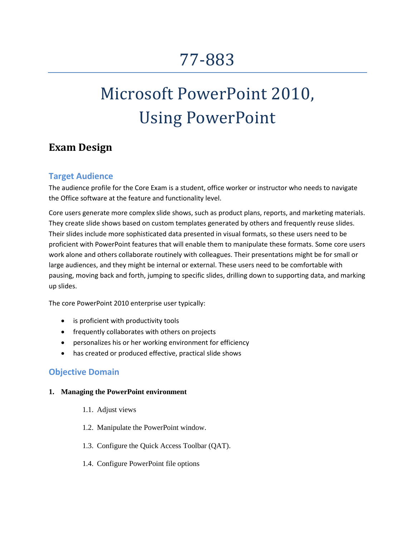# 77-883

# Microsoft PowerPoint 2010, Using PowerPoint

# **Exam Design**

# **Target Audience**

The audience profile for the Core Exam is a student, office worker or instructor who needs to navigate the Office software at the feature and functionality level.

Core users generate more complex slide shows, such as product plans, reports, and marketing materials. They create slide shows based on custom templates generated by others and frequently reuse slides. Their slides include more sophisticated data presented in visual formats, so these users need to be proficient with PowerPoint features that will enable them to manipulate these formats. Some core users work alone and others collaborate routinely with colleagues. Their presentations might be for small or large audiences, and they might be internal or external. These users need to be comfortable with pausing, moving back and forth, jumping to specific slides, drilling down to supporting data, and marking up slides.

The core PowerPoint 2010 enterprise user typically:

- is proficient with productivity tools
- frequently collaborates with others on projects
- personalizes his or her working environment for efficiency
- has created or produced effective, practical slide shows

# **Objective Domain**

### **1. Managing the PowerPoint environment**

- 1.1. Adjust views
- 1.2. Manipulate the PowerPoint window.
- 1.3. Configure the Quick Access Toolbar (QAT).
- 1.4. Configure PowerPoint file options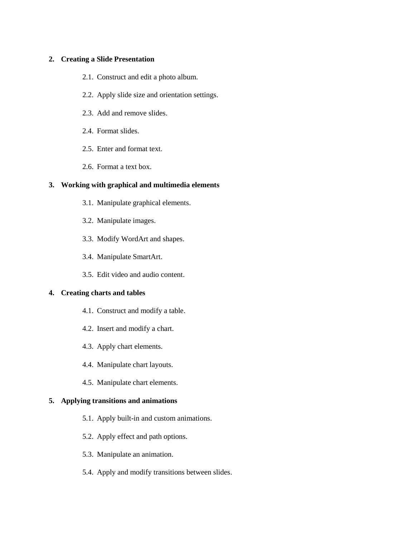#### **2. Creating a Slide Presentation**

- 2.1. Construct and edit a photo album.
- 2.2. Apply slide size and orientation settings.
- 2.3. Add and remove slides.
- 2.4. Format slides.
- 2.5. Enter and format text.
- 2.6. Format a text box.

#### **3. Working with graphical and multimedia elements**

- 3.1. Manipulate graphical elements.
- 3.2. Manipulate images.
- 3.3. Modify WordArt and shapes.
- 3.4. Manipulate SmartArt.
- 3.5. Edit video and audio content.

#### **4. Creating charts and tables**

- 4.1. Construct and modify a table.
- 4.2. Insert and modify a chart.
- 4.3. Apply chart elements.
- 4.4. Manipulate chart layouts.
- 4.5. Manipulate chart elements.

#### **5. Applying transitions and animations**

- 5.1. Apply built-in and custom animations.
- 5.2. Apply effect and path options.
- 5.3. Manipulate an animation.
- 5.4. Apply and modify transitions between slides.